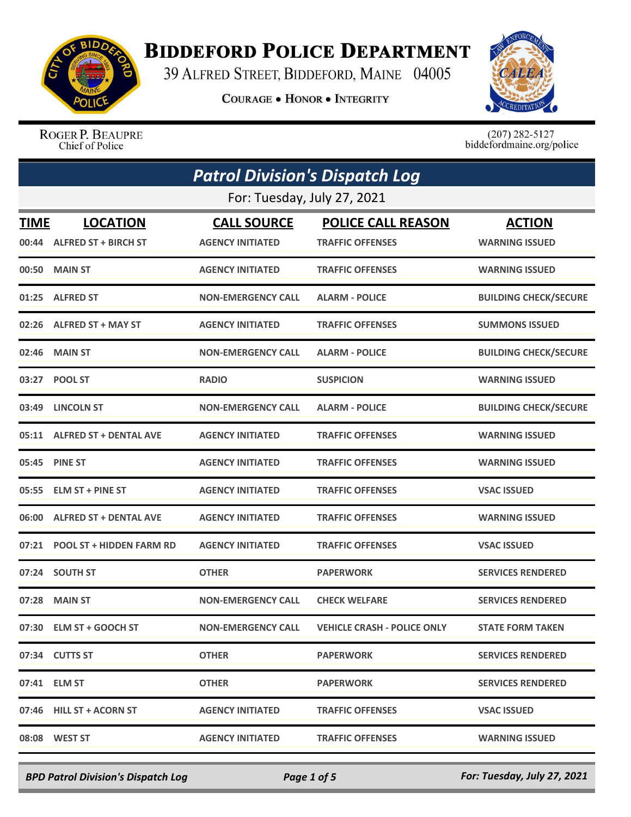

## **BIDDEFORD POLICE DEPARTMENT**

39 ALFRED STREET, BIDDEFORD, MAINE 04005

**COURAGE . HONOR . INTEGRITY** 



ROGER P. BEAUPRE Chief of Police

 $(207)$  282-5127<br>biddefordmaine.org/police

|             | <b>Patrol Division's Dispatch Log</b> |                           |                                    |                              |  |
|-------------|---------------------------------------|---------------------------|------------------------------------|------------------------------|--|
|             | For: Tuesday, July 27, 2021           |                           |                                    |                              |  |
| <b>TIME</b> | <b>LOCATION</b>                       | <b>CALL SOURCE</b>        | <b>POLICE CALL REASON</b>          | <b>ACTION</b>                |  |
|             | 00:44 ALFRED ST + BIRCH ST            | <b>AGENCY INITIATED</b>   | <b>TRAFFIC OFFENSES</b>            | <b>WARNING ISSUED</b>        |  |
| 00:50       | <b>MAIN ST</b>                        | <b>AGENCY INITIATED</b>   | <b>TRAFFIC OFFENSES</b>            | <b>WARNING ISSUED</b>        |  |
| 01:25       | <b>ALFRED ST</b>                      | <b>NON-EMERGENCY CALL</b> | <b>ALARM - POLICE</b>              | <b>BUILDING CHECK/SECURE</b> |  |
| 02:26       | <b>ALFRED ST + MAY ST</b>             | <b>AGENCY INITIATED</b>   | <b>TRAFFIC OFFENSES</b>            | <b>SUMMONS ISSUED</b>        |  |
| 02:46       | <b>MAIN ST</b>                        | <b>NON-EMERGENCY CALL</b> | <b>ALARM - POLICE</b>              | <b>BUILDING CHECK/SECURE</b> |  |
| 03:27       | <b>POOL ST</b>                        | <b>RADIO</b>              | <b>SUSPICION</b>                   | <b>WARNING ISSUED</b>        |  |
| 03:49       | <b>LINCOLN ST</b>                     | <b>NON-EMERGENCY CALL</b> | <b>ALARM - POLICE</b>              | <b>BUILDING CHECK/SECURE</b> |  |
| 05:11       | <b>ALFRED ST + DENTAL AVE</b>         | <b>AGENCY INITIATED</b>   | <b>TRAFFIC OFFENSES</b>            | <b>WARNING ISSUED</b>        |  |
| 05:45       | <b>PINE ST</b>                        | <b>AGENCY INITIATED</b>   | <b>TRAFFIC OFFENSES</b>            | <b>WARNING ISSUED</b>        |  |
| 05:55       | <b>ELM ST + PINE ST</b>               | <b>AGENCY INITIATED</b>   | <b>TRAFFIC OFFENSES</b>            | <b>VSAC ISSUED</b>           |  |
| 06:00       | <b>ALFRED ST + DENTAL AVE</b>         | <b>AGENCY INITIATED</b>   | <b>TRAFFIC OFFENSES</b>            | <b>WARNING ISSUED</b>        |  |
| 07:21       | <b>POOL ST + HIDDEN FARM RD</b>       | <b>AGENCY INITIATED</b>   | <b>TRAFFIC OFFENSES</b>            | <b>VSAC ISSUED</b>           |  |
|             | 07:24 SOUTH ST                        | <b>OTHER</b>              | <b>PAPERWORK</b>                   | <b>SERVICES RENDERED</b>     |  |
| 07:28       | <b>MAIN ST</b>                        | <b>NON-EMERGENCY CALL</b> | <b>CHECK WELFARE</b>               | <b>SERVICES RENDERED</b>     |  |
|             | 07:30 ELM ST + GOOCH ST               | <b>NON-EMERGENCY CALL</b> | <b>VEHICLE CRASH - POLICE ONLY</b> | <b>STATE FORM TAKEN</b>      |  |
|             | 07:34 CUTTS ST                        | <b>OTHER</b>              | <b>PAPERWORK</b>                   | <b>SERVICES RENDERED</b>     |  |
|             | 07:41 ELM ST                          | <b>OTHER</b>              | <b>PAPERWORK</b>                   | <b>SERVICES RENDERED</b>     |  |
|             | 07:46 HILL ST + ACORN ST              | <b>AGENCY INITIATED</b>   | <b>TRAFFIC OFFENSES</b>            | <b>VSAC ISSUED</b>           |  |
|             | 08:08 WEST ST                         | <b>AGENCY INITIATED</b>   | <b>TRAFFIC OFFENSES</b>            | <b>WARNING ISSUED</b>        |  |

*BPD Patrol Division's Dispatch Log Page 1 of 5 For: Tuesday, July 27, 2021*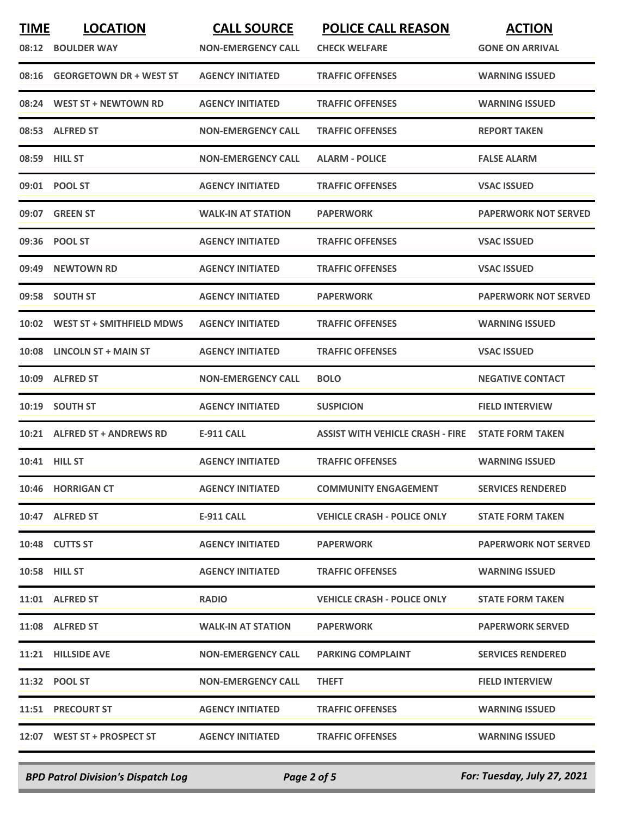| <b>TIME</b><br>08:12 | <b>LOCATION</b><br><b>BOULDER WAY</b> | <b>CALL SOURCE</b><br><b>NON-EMERGENCY CALL</b> | <b>POLICE CALL REASON</b><br><b>CHECK WELFARE</b> | <b>ACTION</b><br><b>GONE ON ARRIVAL</b> |
|----------------------|---------------------------------------|-------------------------------------------------|---------------------------------------------------|-----------------------------------------|
| 08:16                | <b>GEORGETOWN DR + WEST ST</b>        | <b>AGENCY INITIATED</b>                         | <b>TRAFFIC OFFENSES</b>                           | <b>WARNING ISSUED</b>                   |
| 08:24                | <b>WEST ST + NEWTOWN RD</b>           | <b>AGENCY INITIATED</b>                         | <b>TRAFFIC OFFENSES</b>                           | <b>WARNING ISSUED</b>                   |
|                      | 08:53 ALFRED ST                       | <b>NON-EMERGENCY CALL</b>                       | <b>TRAFFIC OFFENSES</b>                           | <b>REPORT TAKEN</b>                     |
|                      | 08:59 HILL ST                         | <b>NON-EMERGENCY CALL</b>                       | <b>ALARM - POLICE</b>                             | <b>FALSE ALARM</b>                      |
|                      | 09:01 POOL ST                         | <b>AGENCY INITIATED</b>                         | <b>TRAFFIC OFFENSES</b>                           | <b>VSAC ISSUED</b>                      |
|                      | 09:07 GREEN ST                        | <b>WALK-IN AT STATION</b>                       | <b>PAPERWORK</b>                                  | <b>PAPERWORK NOT SERVED</b>             |
| 09:36                | <b>POOL ST</b>                        | <b>AGENCY INITIATED</b>                         | <b>TRAFFIC OFFENSES</b>                           | <b>VSAC ISSUED</b>                      |
| 09:49                | <b>NEWTOWN RD</b>                     | <b>AGENCY INITIATED</b>                         | <b>TRAFFIC OFFENSES</b>                           | <b>VSAC ISSUED</b>                      |
|                      | 09:58 SOUTH ST                        | <b>AGENCY INITIATED</b>                         | <b>PAPERWORK</b>                                  | <b>PAPERWORK NOT SERVED</b>             |
| 10:02                | <b>WEST ST + SMITHFIELD MDWS</b>      | <b>AGENCY INITIATED</b>                         | <b>TRAFFIC OFFENSES</b>                           | <b>WARNING ISSUED</b>                   |
| 10:08                | LINCOLN ST + MAIN ST                  | <b>AGENCY INITIATED</b>                         | <b>TRAFFIC OFFENSES</b>                           | <b>VSAC ISSUED</b>                      |
| 10:09                | <b>ALFRED ST</b>                      | <b>NON-EMERGENCY CALL</b>                       | <b>BOLO</b>                                       | <b>NEGATIVE CONTACT</b>                 |
| 10:19                | <b>SOUTH ST</b>                       | <b>AGENCY INITIATED</b>                         | <b>SUSPICION</b>                                  | <b>FIELD INTERVIEW</b>                  |
| 10:21                | <b>ALFRED ST + ANDREWS RD</b>         | <b>E-911 CALL</b>                               | <b>ASSIST WITH VEHICLE CRASH - FIRE</b>           | <b>STATE FORM TAKEN</b>                 |
|                      | 10:41 HILL ST                         | <b>AGENCY INITIATED</b>                         | <b>TRAFFIC OFFENSES</b>                           | <b>WARNING ISSUED</b>                   |
|                      | 10:46 HORRIGAN CT                     | <b>AGENCY INITIATED</b>                         | <b>COMMUNITY ENGAGEMENT</b>                       | <b>SERVICES RENDERED</b>                |
|                      | 10:47 ALFRED ST                       | E-911 CALL                                      | <b>VEHICLE CRASH - POLICE ONLY</b>                | <b>STATE FORM TAKEN</b>                 |
|                      | 10:48 CUTTS ST                        | <b>AGENCY INITIATED</b>                         | <b>PAPERWORK</b>                                  | <b>PAPERWORK NOT SERVED</b>             |
|                      | 10:58 HILL ST                         | <b>AGENCY INITIATED</b>                         | <b>TRAFFIC OFFENSES</b>                           | <b>WARNING ISSUED</b>                   |
|                      | 11:01 ALFRED ST                       | <b>RADIO</b>                                    | <b>VEHICLE CRASH - POLICE ONLY</b>                | <b>STATE FORM TAKEN</b>                 |
|                      | 11:08 ALFRED ST                       | <b>WALK-IN AT STATION</b>                       | <b>PAPERWORK</b>                                  | <b>PAPERWORK SERVED</b>                 |
|                      | 11:21 HILLSIDE AVE                    | <b>NON-EMERGENCY CALL</b>                       | <b>PARKING COMPLAINT</b>                          | <b>SERVICES RENDERED</b>                |
|                      | 11:32 POOL ST                         | <b>NON-EMERGENCY CALL</b>                       | <b>THEFT</b>                                      | <b>FIELD INTERVIEW</b>                  |
|                      | 11:51 PRECOURT ST                     | <b>AGENCY INITIATED</b>                         | <b>TRAFFIC OFFENSES</b>                           | <b>WARNING ISSUED</b>                   |
|                      | 12:07 WEST ST + PROSPECT ST           | <b>AGENCY INITIATED</b>                         | <b>TRAFFIC OFFENSES</b>                           | <b>WARNING ISSUED</b>                   |
|                      |                                       |                                                 |                                                   |                                         |

*BPD Patrol Division's Dispatch Log Page 2 of 5 For: Tuesday, July 27, 2021*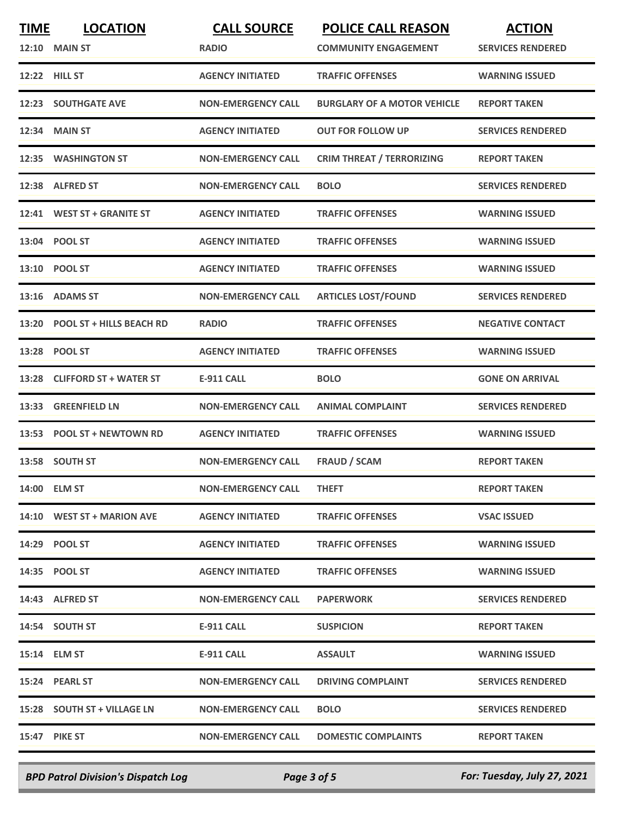| <b>TIME</b> | <b>LOCATION</b><br><b>12:10 MAIN ST</b> | <b>CALL SOURCE</b><br><b>RADIO</b> | <b>POLICE CALL REASON</b><br><b>COMMUNITY ENGAGEMENT</b> | <b>ACTION</b><br><b>SERVICES RENDERED</b> |
|-------------|-----------------------------------------|------------------------------------|----------------------------------------------------------|-------------------------------------------|
| 12:22       | <b>HILL ST</b>                          | <b>AGENCY INITIATED</b>            | <b>TRAFFIC OFFENSES</b>                                  | <b>WARNING ISSUED</b>                     |
|             | <b>12:23 SOUTHGATE AVE</b>              | <b>NON-EMERGENCY CALL</b>          | <b>BURGLARY OF A MOTOR VEHICLE</b>                       | <b>REPORT TAKEN</b>                       |
| 12:34       | <b>MAIN ST</b>                          | <b>AGENCY INITIATED</b>            | <b>OUT FOR FOLLOW UP</b>                                 | <b>SERVICES RENDERED</b>                  |
|             | 12:35 WASHINGTON ST                     | <b>NON-EMERGENCY CALL</b>          | <b>CRIM THREAT / TERRORIZING</b>                         | <b>REPORT TAKEN</b>                       |
|             | 12:38 ALFRED ST                         | <b>NON-EMERGENCY CALL</b>          | <b>BOLO</b>                                              | <b>SERVICES RENDERED</b>                  |
|             | 12:41 WEST ST + GRANITE ST              | <b>AGENCY INITIATED</b>            | <b>TRAFFIC OFFENSES</b>                                  | <b>WARNING ISSUED</b>                     |
|             | 13:04 POOL ST                           | <b>AGENCY INITIATED</b>            | <b>TRAFFIC OFFENSES</b>                                  | <b>WARNING ISSUED</b>                     |
|             | 13:10 POOL ST                           | <b>AGENCY INITIATED</b>            | <b>TRAFFIC OFFENSES</b>                                  | <b>WARNING ISSUED</b>                     |
| 13:16       | <b>ADAMS ST</b>                         | <b>NON-EMERGENCY CALL</b>          | <b>ARTICLES LOST/FOUND</b>                               | <b>SERVICES RENDERED</b>                  |
| 13:20       | <b>POOL ST + HILLS BEACH RD</b>         | <b>RADIO</b>                       | <b>TRAFFIC OFFENSES</b>                                  | <b>NEGATIVE CONTACT</b>                   |
| 13:28       | <b>POOL ST</b>                          | <b>AGENCY INITIATED</b>            | <b>TRAFFIC OFFENSES</b>                                  | <b>WARNING ISSUED</b>                     |
| 13:28       | <b>CLIFFORD ST + WATER ST</b>           | <b>E-911 CALL</b>                  | <b>BOLO</b>                                              | <b>GONE ON ARRIVAL</b>                    |
| 13:33       | <b>GREENFIELD LN</b>                    | <b>NON-EMERGENCY CALL</b>          | <b>ANIMAL COMPLAINT</b>                                  | <b>SERVICES RENDERED</b>                  |
| 13:53       | <b>POOL ST + NEWTOWN RD</b>             | <b>AGENCY INITIATED</b>            | <b>TRAFFIC OFFENSES</b>                                  | <b>WARNING ISSUED</b>                     |
|             | 13:58 SOUTH ST                          | <b>NON-EMERGENCY CALL</b>          | <b>FRAUD / SCAM</b>                                      | <b>REPORT TAKEN</b>                       |
|             | 14:00 ELM ST                            | <b>NON-EMERGENCY CALL</b>          | <b>THEFT</b>                                             | <b>REPORT TAKEN</b>                       |
|             | 14:10 WEST ST + MARION AVE              | <b>AGENCY INITIATED</b>            | <b>TRAFFIC OFFENSES</b>                                  | <b>VSAC ISSUED</b>                        |
|             | 14:29 POOL ST                           | <b>AGENCY INITIATED</b>            | <b>TRAFFIC OFFENSES</b>                                  | <b>WARNING ISSUED</b>                     |
|             | 14:35 POOL ST                           | <b>AGENCY INITIATED</b>            | <b>TRAFFIC OFFENSES</b>                                  | <b>WARNING ISSUED</b>                     |
|             | 14:43 ALFRED ST                         | <b>NON-EMERGENCY CALL</b>          | <b>PAPERWORK</b>                                         | <b>SERVICES RENDERED</b>                  |
|             | 14:54 SOUTH ST                          | E-911 CALL                         | <b>SUSPICION</b>                                         | <b>REPORT TAKEN</b>                       |
|             | 15:14 ELM ST                            | E-911 CALL                         | <b>ASSAULT</b>                                           | <b>WARNING ISSUED</b>                     |
|             | 15:24 PEARL ST                          | <b>NON-EMERGENCY CALL</b>          | <b>DRIVING COMPLAINT</b>                                 | <b>SERVICES RENDERED</b>                  |
|             | 15:28 SOUTH ST + VILLAGE LN             | <b>NON-EMERGENCY CALL</b>          | <b>BOLO</b>                                              | <b>SERVICES RENDERED</b>                  |
|             | <b>15:47 PIKE ST</b>                    | <b>NON-EMERGENCY CALL</b>          | <b>DOMESTIC COMPLAINTS</b>                               | <b>REPORT TAKEN</b>                       |
|             |                                         |                                    |                                                          |                                           |

*BPD Patrol Division's Dispatch Log Page 3 of 5 For: Tuesday, July 27, 2021*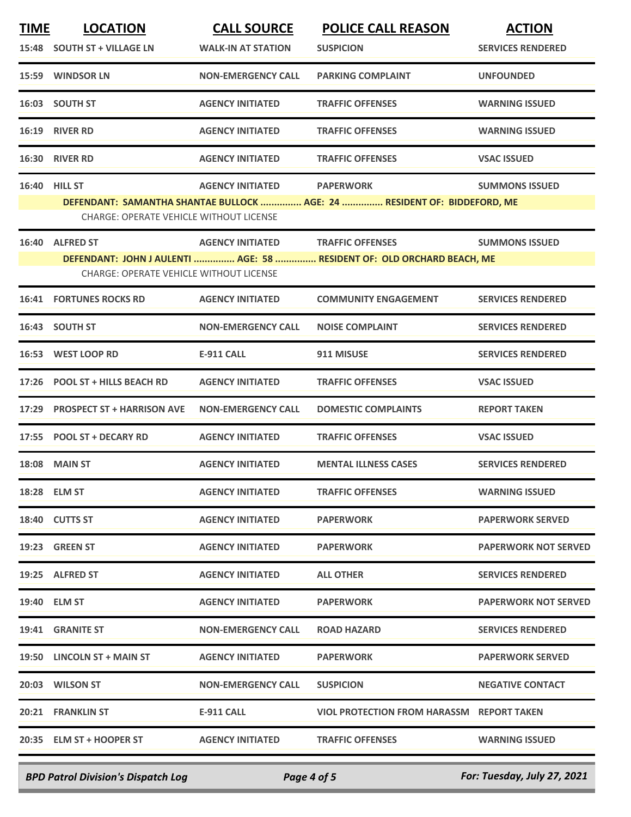| <b>TIME</b> | <b>LOCATION</b>                                | <b>CALL SOURCE</b>        | <b>POLICE CALL REASON</b>                                                | <b>ACTION</b>               |
|-------------|------------------------------------------------|---------------------------|--------------------------------------------------------------------------|-----------------------------|
|             | 15:48 SOUTH ST + VILLAGE LN                    | <b>WALK-IN AT STATION</b> | <b>SUSPICION</b>                                                         | <b>SERVICES RENDERED</b>    |
|             | 15:59 WINDSOR LN                               | <b>NON-EMERGENCY CALL</b> | <b>PARKING COMPLAINT</b>                                                 | <b>UNFOUNDED</b>            |
|             | 16:03 SOUTH ST                                 | <b>AGENCY INITIATED</b>   | <b>TRAFFIC OFFENSES</b>                                                  | <b>WARNING ISSUED</b>       |
|             | 16:19 RIVER RD                                 | <b>AGENCY INITIATED</b>   | <b>TRAFFIC OFFENSES</b>                                                  | <b>WARNING ISSUED</b>       |
|             | 16:30 RIVER RD                                 | <b>AGENCY INITIATED</b>   | <b>TRAFFIC OFFENSES</b>                                                  | <b>VSAC ISSUED</b>          |
| 16:40       | <b>HILL ST</b>                                 | <b>AGENCY INITIATED</b>   | <b>PAPERWORK</b>                                                         | <b>SUMMONS ISSUED</b>       |
|             |                                                |                           | DEFENDANT: SAMANTHA SHANTAE BULLOCK  AGE: 24  RESIDENT OF: BIDDEFORD, ME |                             |
|             | <b>CHARGE: OPERATE VEHICLE WITHOUT LICENSE</b> |                           |                                                                          |                             |
|             | 16:40 ALFRED ST                                | <b>AGENCY INITIATED</b>   | <b>TRAFFIC OFFENSES</b>                                                  | <b>SUMMONS ISSUED</b>       |
|             | <b>CHARGE: OPERATE VEHICLE WITHOUT LICENSE</b> |                           | DEFENDANT: JOHN J AULENTI  AGE: 58  RESIDENT OF: OLD ORCHARD BEACH, ME   |                             |
| 16:41       | <b>FORTUNES ROCKS RD</b>                       | <b>AGENCY INITIATED</b>   | <b>COMMUNITY ENGAGEMENT</b>                                              | <b>SERVICES RENDERED</b>    |
| 16:43       | <b>SOUTH ST</b>                                | <b>NON-EMERGENCY CALL</b> | <b>NOISE COMPLAINT</b>                                                   | <b>SERVICES RENDERED</b>    |
| 16:53       | <b>WEST LOOP RD</b>                            | <b>E-911 CALL</b>         | 911 MISUSE                                                               | <b>SERVICES RENDERED</b>    |
| 17:26       | <b>POOL ST + HILLS BEACH RD</b>                | <b>AGENCY INITIATED</b>   | <b>TRAFFIC OFFENSES</b>                                                  | <b>VSAC ISSUED</b>          |
|             | 17:29 PROSPECT ST + HARRISON AVE               | <b>NON-EMERGENCY CALL</b> | <b>DOMESTIC COMPLAINTS</b>                                               | <b>REPORT TAKEN</b>         |
| 17:55       | <b>POOL ST + DECARY RD</b>                     | <b>AGENCY INITIATED</b>   | <b>TRAFFIC OFFENSES</b>                                                  | <b>VSAC ISSUED</b>          |
|             | <b>18:08 MAIN ST</b>                           | <b>AGENCY INITIATED</b>   | <b>MENTAL ILLNESS CASES</b>                                              | <b>SERVICES RENDERED</b>    |
|             | 18:28 ELM ST                                   | <b>AGENCY INITIATED</b>   | <b>TRAFFIC OFFENSES</b>                                                  | <b>WARNING ISSUED</b>       |
|             | 18:40 CUTTS ST                                 | <b>AGENCY INITIATED</b>   | <b>PAPERWORK</b>                                                         | <b>PAPERWORK SERVED</b>     |
|             | 19:23 GREEN ST                                 | <b>AGENCY INITIATED</b>   | <b>PAPERWORK</b>                                                         | <b>PAPERWORK NOT SERVED</b> |
|             | 19:25 ALFRED ST                                | <b>AGENCY INITIATED</b>   | <b>ALL OTHER</b>                                                         | <b>SERVICES RENDERED</b>    |
|             | 19:40 ELM ST                                   | <b>AGENCY INITIATED</b>   | <b>PAPERWORK</b>                                                         | <b>PAPERWORK NOT SERVED</b> |
|             | 19:41 GRANITE ST                               | <b>NON-EMERGENCY CALL</b> | <b>ROAD HAZARD</b>                                                       | <b>SERVICES RENDERED</b>    |
|             | 19:50 LINCOLN ST + MAIN ST                     | <b>AGENCY INITIATED</b>   | <b>PAPERWORK</b>                                                         | <b>PAPERWORK SERVED</b>     |
|             | 20:03 WILSON ST                                | <b>NON-EMERGENCY CALL</b> | <b>SUSPICION</b>                                                         | <b>NEGATIVE CONTACT</b>     |
|             | 20:21 FRANKLIN ST                              | <b>E-911 CALL</b>         | VIOL PROTECTION FROM HARASSM REPORT TAKEN                                |                             |
|             | 20:35 ELM ST + HOOPER ST                       | <b>AGENCY INITIATED</b>   | <b>TRAFFIC OFFENSES</b>                                                  | <b>WARNING ISSUED</b>       |
|             |                                                |                           |                                                                          |                             |

*BPD Patrol Division's Dispatch Log Page 4 of 5 For: Tuesday, July 27, 2021*